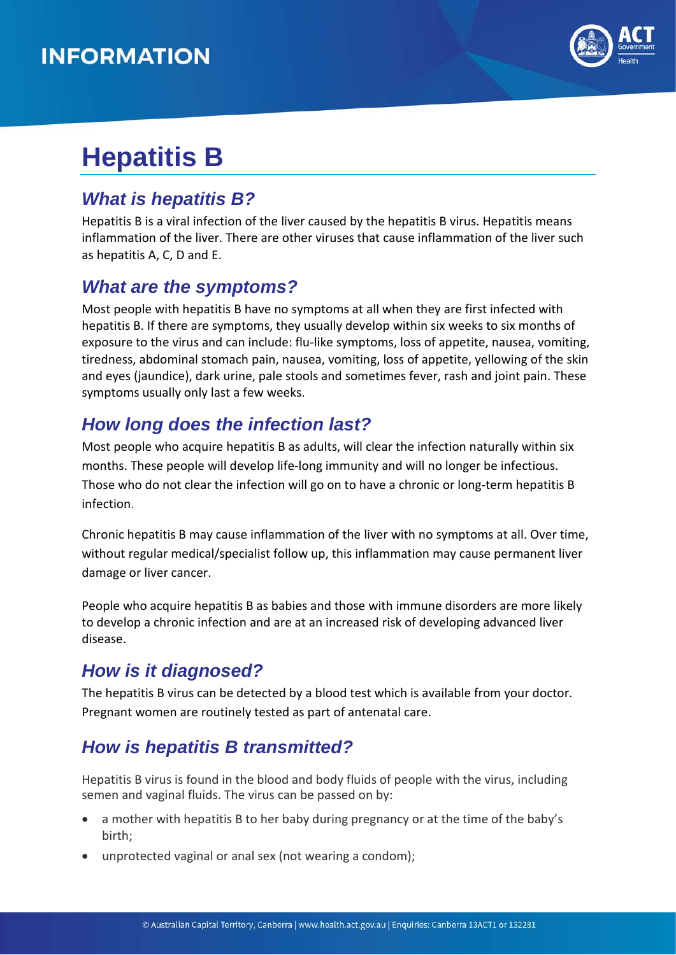## **INFORMATION**



# **Hepatitis B**

#### *What is hepatitis B?*

Hepatitis B is a viral infection of the liver caused by the hepatitis B virus. Hepatitis means inflammation of the liver. There are other viruses that cause inflammation of the liver such as hepatitis A, C, D and E.

#### *What are the symptoms?*

Most people with hepatitis B have no symptoms at all when they are first infected with hepatitis B. If there are symptoms, they usually develop within six weeks to six months of exposure to the virus and can include: flu-like symptoms, loss of appetite, nausea, vomiting, tiredness, abdominal stomach pain, nausea, vomiting, loss of appetite, yellowing of the skin and eyes (jaundice), dark urine, pale stools and sometimes fever, rash and joint pain. These symptoms usually only last a few weeks.

### *How long does the infection last?*

Most people who acquire hepatitis B as adults, will clear the infection naturally within six months. These people will develop life-long immunity and will no longer be infectious. Those who do not clear the infection will go on to have a chronic or long-term hepatitis B infection.

Chronic hepatitis B may cause inflammation of the liver with no symptoms at all. Over time, without regular medical/specialist follow up, this inflammation may cause permanent liver damage or liver cancer.

People who acquire hepatitis B as babies and those with immune disorders are more likely to develop a chronic infection and are at an increased risk of developing advanced liver disease.

### *How is it diagnosed?*

The hepatitis B virus can be detected by a blood test which is available from your doctor. Pregnant women are routinely tested as part of antenatal care.

### *How is hepatitis B transmitted?*

Hepatitis B virus is found in the blood and body fluids of people with the virus, including semen and vaginal fluids. The virus can be passed on by:

- a mother with hepatitis B to her baby during pregnancy or at the time of the baby's birth;
- unprotected vaginal or anal sex (not wearing a condom);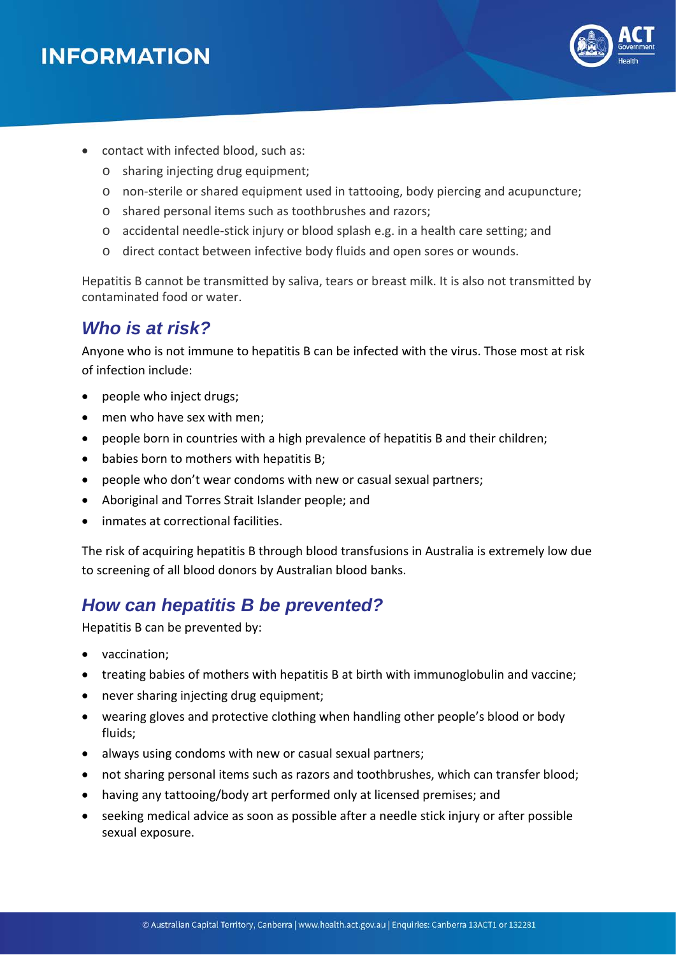

- contact with infected blood, such as:
	- o sharing injecting drug equipment;
	- o non-sterile or shared equipment used in tattooing, body piercing and acupuncture;
	- o shared personal items such as toothbrushes and razors;
	- o accidental needle-stick injury or blood splash e.g. in a health care setting; and
	- o direct contact between infective body fluids and open sores or wounds.

Hepatitis B cannot be transmitted by saliva, tears or breast milk. It is also not transmitted by contaminated food or water.

#### *Who is at risk?*

Anyone who is not immune to hepatitis B can be infected with the virus. Those most at risk of infection include:

- people who inject drugs;
- men who have sex with men;
- people born in countries with a high prevalence of hepatitis B and their children;
- babies born to mothers with hepatitis B;
- people who don't wear condoms with new or casual sexual partners;
- Aboriginal and Torres Strait Islander people; and
- inmates at correctional facilities.

The risk of acquiring hepatitis B through blood transfusions in Australia is extremely low due to screening of all blood donors by Australian blood banks.

#### *How can hepatitis B be prevented?*

Hepatitis B can be prevented by:

- vaccination;
- treating babies of mothers with hepatitis B at birth with immunoglobulin and vaccine;
- never sharing injecting drug equipment;
- wearing gloves and protective clothing when handling other people's blood or body fluids;
- always using condoms with new or casual sexual partners;
- not sharing personal items such as razors and toothbrushes, which can transfer blood;
- having any tattooing/body art performed only at licensed premises; and
- seeking medical advice as soon as possible after a needle stick injury or after possible sexual exposure.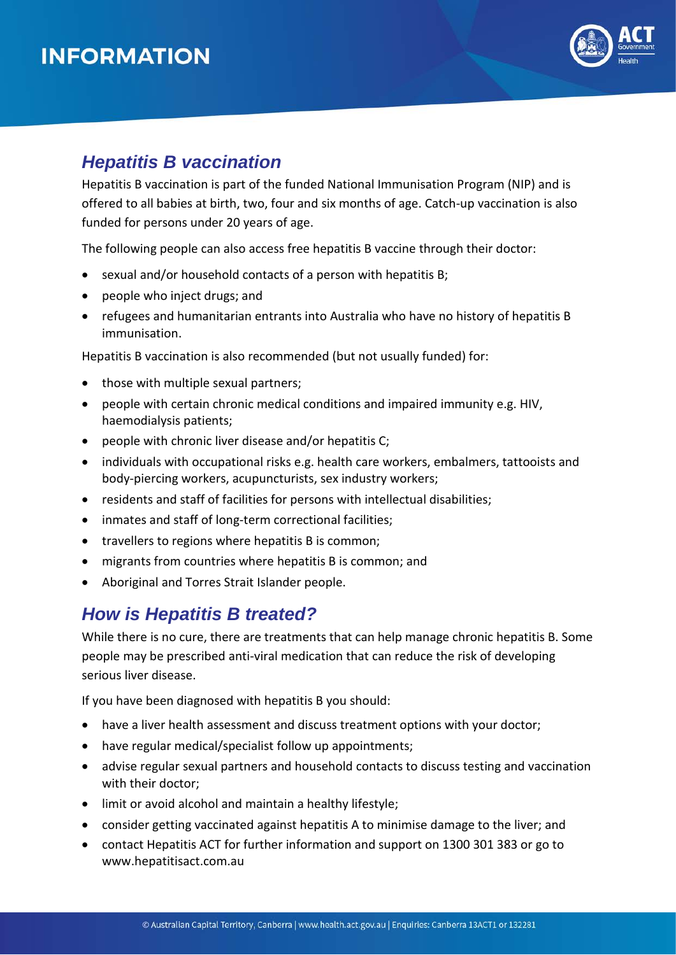## **INFORMATION**



#### *Hepatitis B vaccination*

Hepatitis B vaccination is part of the funded National Immunisation Program (NIP) and is offered to all babies at birth, two, four and six months of age. Catch-up vaccination is also funded for persons under 20 years of age.

The following people can also access free hepatitis B vaccine through their doctor:

- sexual and/or household contacts of a person with hepatitis B;
- people who inject drugs; and
- refugees and humanitarian entrants into Australia who have no history of hepatitis B immunisation.

Hepatitis B vaccination is also recommended (but not usually funded) for:

- those with multiple sexual partners;
- people with certain chronic medical conditions and impaired immunity e.g. HIV, haemodialysis patients;
- people with chronic liver disease and/or hepatitis C;
- individuals with occupational risks e.g. health care workers, embalmers, tattooists and body-piercing workers, acupuncturists, sex industry workers;
- residents and staff of facilities for persons with intellectual disabilities;
- inmates and staff of long-term correctional facilities;
- travellers to regions where hepatitis B is common;
- migrants from countries where hepatitis B is common; and
- Aboriginal and Torres Strait Islander people.

#### *How is Hepatitis B treated?*

While there is no cure, there are treatments that can help manage chronic hepatitis B. Some people may be prescribed anti-viral medication that can reduce the risk of developing serious liver disease.

If you have been diagnosed with hepatitis B you should:

- have a liver health assessment and discuss treatment options with your doctor;
- have regular medical/specialist follow up appointments;
- advise regular sexual partners and household contacts to discuss testing and vaccination with their doctor;
- limit or avoid alcohol and maintain a healthy lifestyle;
- consider getting vaccinated against hepatitis A to minimise damage to the liver; and
- contact Hepatitis ACT for further information and support on 1300 301 383 or go to www[.hepatitisact.com.au](http://hepatitisact.com.au/)